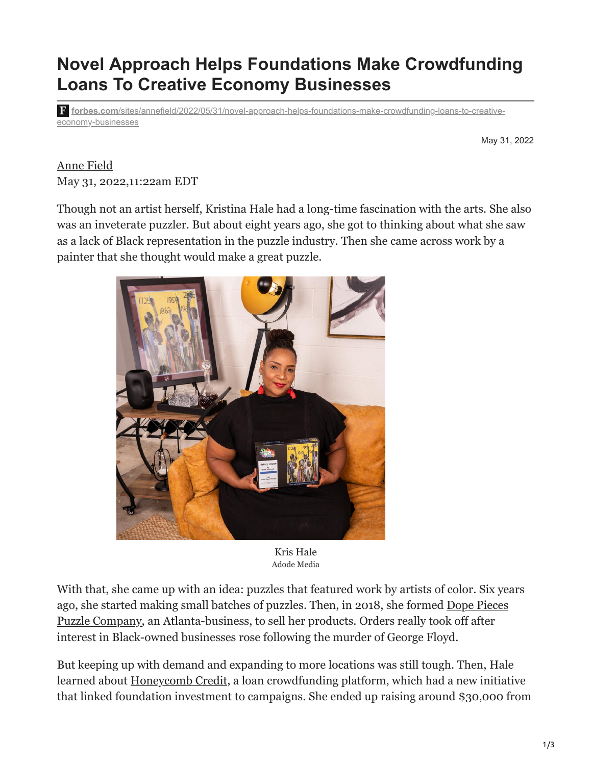## **Novel Approach Helps Foundations Make Crowdfunding Loans To Creative Economy Businesses**

**forbes.com**[/sites/annefield/2022/05/31/novel-approach-helps-foundations-make-crowdfunding-loans-to-creative](https://www.forbes.com/sites/annefield/2022/05/31/novel-approach-helps-foundations-make-crowdfunding-loans-to-creative-economy-businesses/?sh=39831b0e551c)economy-businesses

May 31, 2022

[Anne Field](https://www.forbes.com/sites/annefield/) May 31, 2022,11:22am EDT

Though not an artist herself, Kristina Hale had a long-time fascination with the arts. She also was an inveterate puzzler. But about eight years ago, she got to thinking about what she saw as a lack of Black representation in the puzzle industry. Then she came across work by a painter that she thought would make a great puzzle.



Kris Hale Adode Media

With that, she came up with an idea: puzzles that featured work by artists of color. Six years [ago, she started making small batches of puzzles. Then, in 2018, she formed Dope Pieces](https://dopepieces.art/) Puzzle Company, an Atlanta-business, to sell her products. Orders really took off after interest in Black-owned businesses rose following the murder of George Floyd.

But keeping up with demand and expanding to more locations was still tough. Then, Hale learned about [Honeycomb Credit,](https://www.honeycombcredit.com/) a loan crowdfunding platform, which had a new initiative that linked foundation investment to campaigns. She ended up raising around \$30,000 from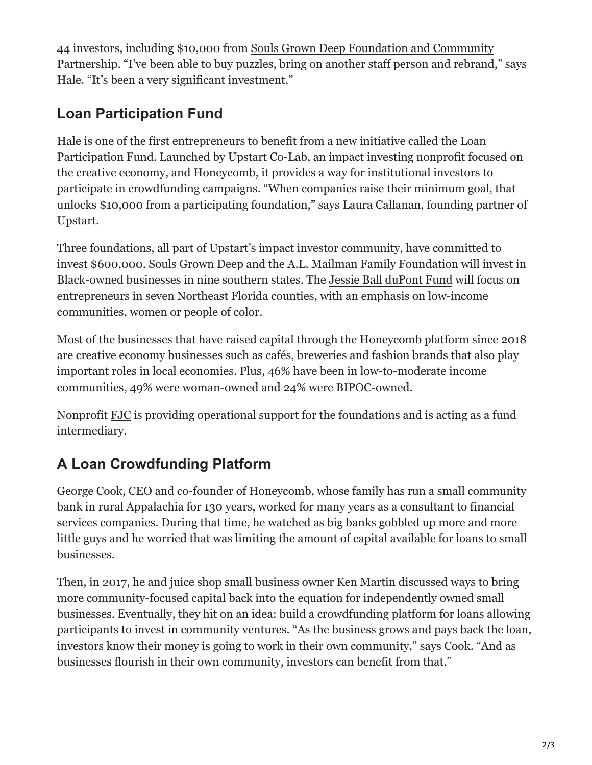44 investors, including \$10,000 from Souls Grown Deep Foundation and Community [Partnership. "I've been able to buy puzzles, bring on another staff person and rebrand](https://www.soulsgrowndeep.org/)," says Hale. "It's been a very significant investment."

## **Loan Participation Fund**

Hale is one of the first entrepreneurs to benefit from a new initiative called the Loan Participation Fund. Launched by [Upstart Co-Lab,](https://upstartco-lab.org/) an impact investing nonprofit focused on the creative economy, and Honeycomb, it provides a way for institutional investors to participate in crowdfunding campaigns. "When companies raise their minimum goal, that unlocks \$10,000 from a participating foundation," says Laura Callanan, founding partner of Upstart.

Three foundations, all part of Upstart's impact investor community, have committed to invest \$600,000. Souls Grown Deep and the [A.L. Mailman Family Foundation](https://www.publicsafetygrants.info/GrantDetails.aspx?gid=23) will invest in Black-owned businesses in nine southern states. The [Jessie Ball duPont Fund](https://www.dupontfund.org/) will focus on entrepreneurs in seven Northeast Florida counties, with an emphasis on low-income communities, women or people of color.

Most of the businesses that have raised capital through the Honeycomb platform since 2018 are creative economy businesses such as cafés, breweries and fashion brands that also play important roles in local economies. Plus, 46% have been in low-to-moderate income communities, 49% were woman-owned and 24% were BIPOC-owned.

Nonprofit [FJC](https://fjc.org/) is providing operational support for the foundations and is acting as a fund intermediary.

## **A Loan Crowdfunding Platform**

George Cook, CEO and co-founder of Honeycomb, whose family has run a small community bank in rural Appalachia for 130 years, worked for many years as a consultant to financial services companies. During that time, he watched as big banks gobbled up more and more little guys and he worried that was limiting the amount of capital available for loans to small businesses.

Then, in 2017, he and juice shop small business owner Ken Martin discussed ways to bring more community-focused capital back into the equation for independently owned small businesses. Eventually, they hit on an idea: build a crowdfunding platform for loans allowing participants to invest in community ventures. "As the business grows and pays back the loan, investors know their money is going to work in their own community," says Cook. "And as businesses flourish in their own community, investors can benefit from that."